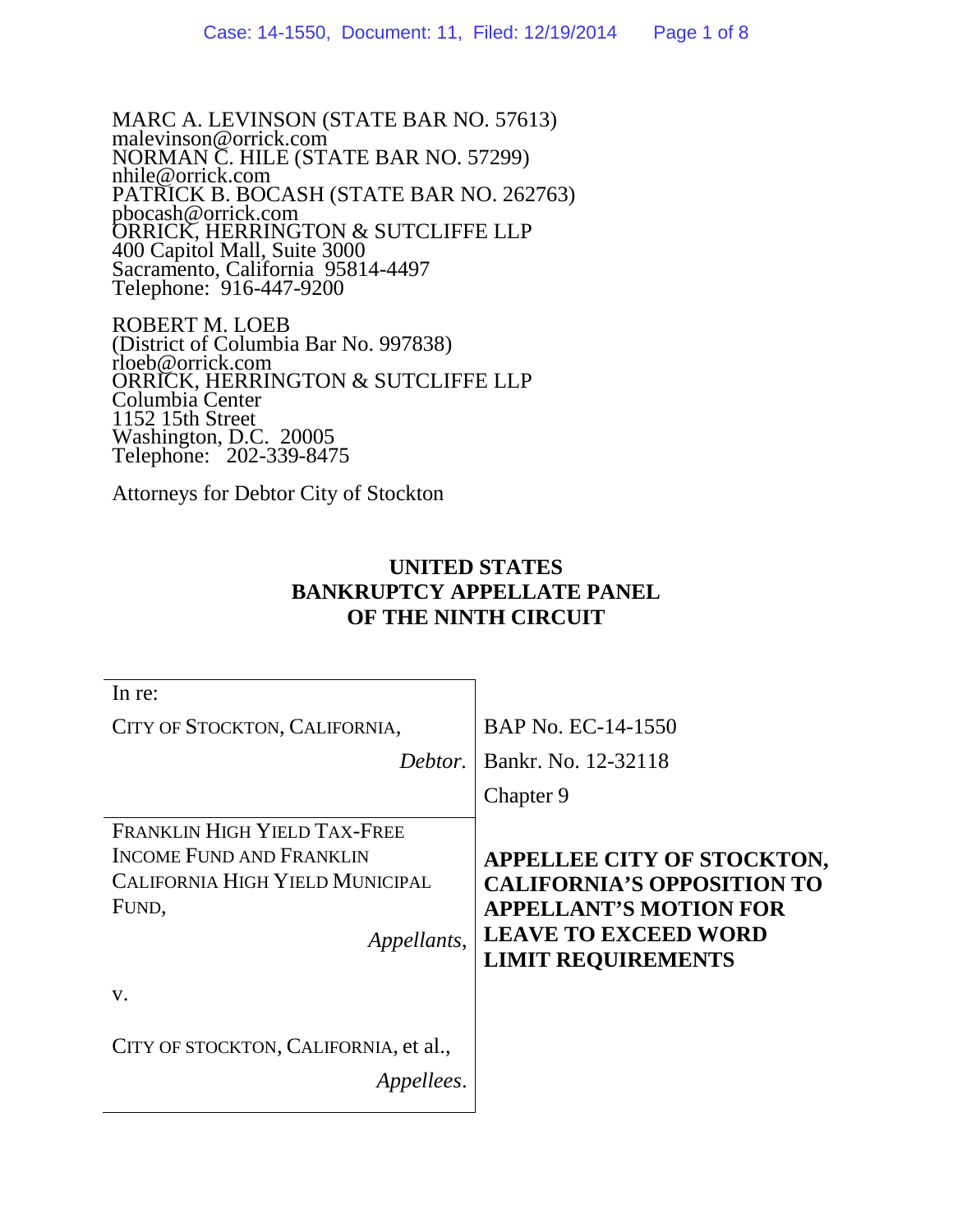MARC A. LEVINSON (STATE BAR NO. 57613) malevinson@orrick.com NORMAN C. HILE (STATE BAR NO. 57299) nhile@orrick.com PATRICK B. BOCASH (STATE BAR NO. 262763) pbocash@orrick.com ORRICK, HERRINGTON & SUTCLIFFE LLP 400 Capitol Mall, Suite 3000 Sacramento, California 95814-4497 Telephone: 916-447-9200

ROBERT M. LOEB (District of Columbia Bar No. 997838) rloeb@orrick.com ORRICK, HERRINGTON & SUTCLIFFE LLP Columbia Center 1152 15th Street Washington, D.C. 20005 Telephone: 202-339-8475

Attorneys for Debtor City of Stockton

### **UNITED STATES BANKRUPTCY APPELLATE PANEL OF THE NINTH CIRCUIT**

| In re:                                                                                                                            |                                                                                                                                                              |
|-----------------------------------------------------------------------------------------------------------------------------------|--------------------------------------------------------------------------------------------------------------------------------------------------------------|
| CITY OF STOCKTON, CALIFORNIA,                                                                                                     | BAP No. EC-14-1550                                                                                                                                           |
| Debtor.                                                                                                                           | Bankr. No. 12-32118                                                                                                                                          |
|                                                                                                                                   | Chapter 9                                                                                                                                                    |
| FRANKLIN HIGH YIELD TAX-FREE<br><b>INCOME FUND AND FRANKLIN</b><br><b>CALIFORNIA HIGH YIELD MUNICIPAL</b><br>FUND,<br>Appellants, | APPELLEE CITY OF STOCKTON,<br><b>CALIFORNIA'S OPPOSITION TO</b><br><b>APPELLANT'S MOTION FOR</b><br><b>LEAVE TO EXCEED WORD</b><br><b>LIMIT REQUIREMENTS</b> |
| V.                                                                                                                                |                                                                                                                                                              |
| CITY OF STOCKTON, CALIFORNIA, et al.,<br><i>Appellees.</i>                                                                        |                                                                                                                                                              |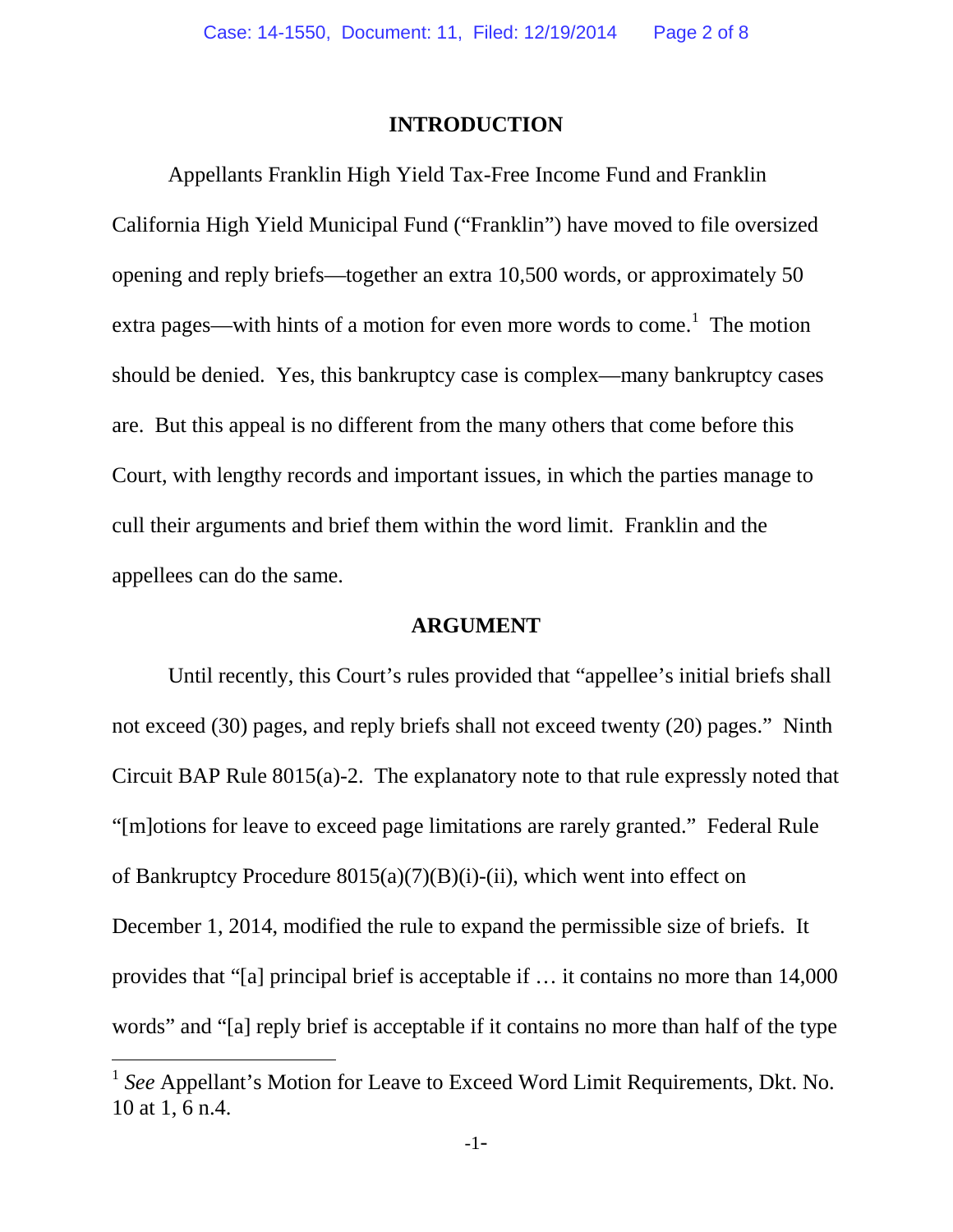#### **INTRODUCTION**

Appellants Franklin High Yield Tax-Free Income Fund and Franklin California High Yield Municipal Fund ("Franklin") have moved to file oversized opening and reply briefs—together an extra 10,500 words, or approximately 50 extra pages—with hints of a motion for even more words to come.<sup>1</sup> The motion should be denied. Yes, this bankruptcy case is complex—many bankruptcy cases are. But this appeal is no different from the many others that come before this Court, with lengthy records and important issues, in which the parties manage to cull their arguments and brief them within the word limit. Franklin and the appellees can do the same.

#### **ARGUMENT**

Until recently, this Court's rules provided that "appellee's initial briefs shall not exceed (30) pages, and reply briefs shall not exceed twenty (20) pages." Ninth Circuit BAP Rule 8015(a)-2. The explanatory note to that rule expressly noted that "[m]otions for leave to exceed page limitations are rarely granted." Federal Rule of Bankruptcy Procedure 8015(a)(7)(B)(i)-(ii), which went into effect on December 1, 2014, modified the rule to expand the permissible size of briefs. It provides that "[a] principal brief is acceptable if … it contains no more than 14,000 words" and "[a] reply brief is acceptable if it contains no more than half of the type

<sup>&</sup>lt;sup>1</sup> See Appellant's Motion for Leave to Exceed Word Limit Requirements, Dkt. No. 10 at 1, 6 n.4.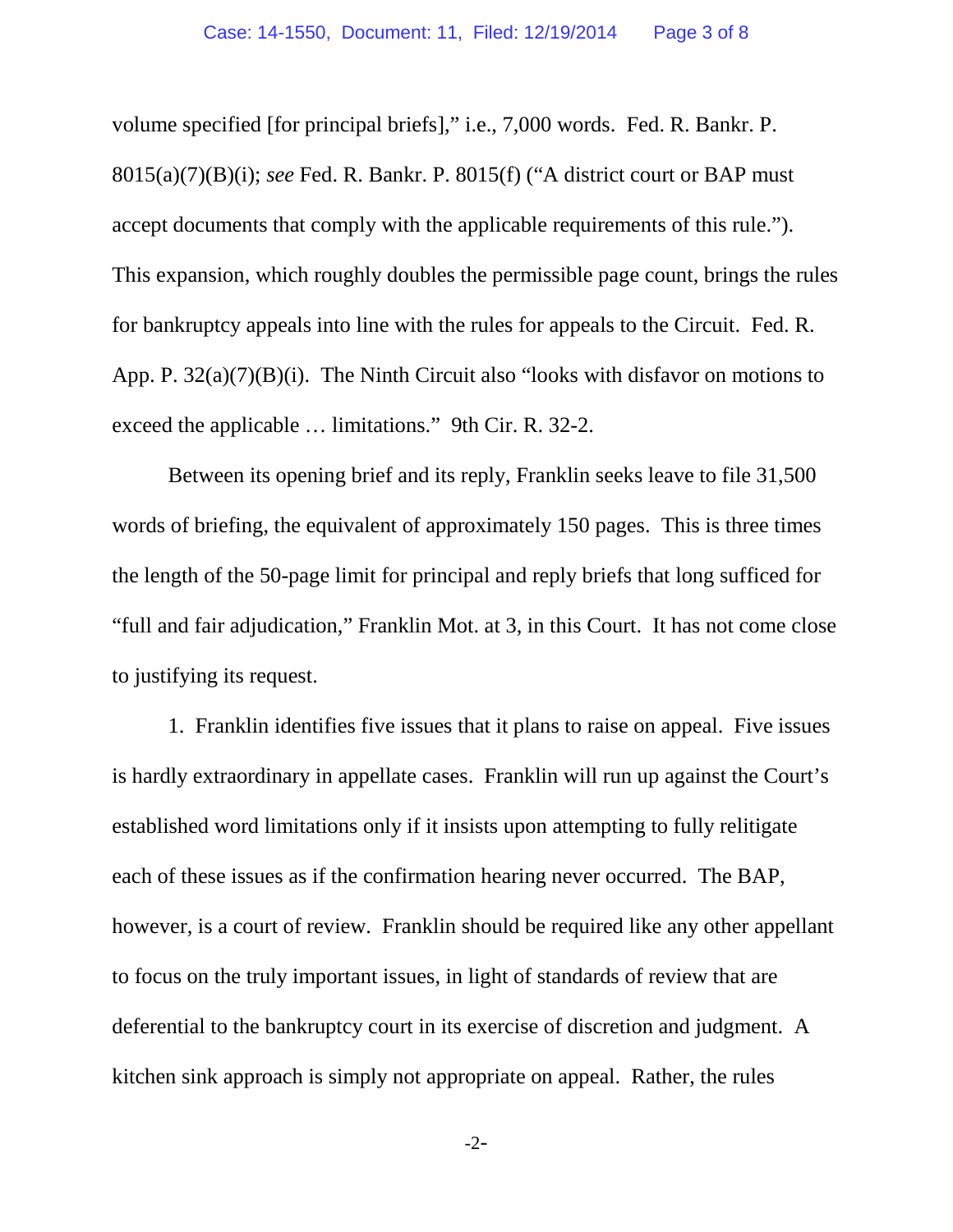volume specified [for principal briefs]," i.e., 7,000 words. Fed. R. Bankr. P. 8015(a)(7)(B)(i); *see* Fed. R. Bankr. P. 8015(f) ("A district court or BAP must accept documents that comply with the applicable requirements of this rule."). This expansion, which roughly doubles the permissible page count, brings the rules for bankruptcy appeals into line with the rules for appeals to the Circuit. Fed. R. App. P. 32(a)(7)(B)(i). The Ninth Circuit also "looks with disfavor on motions to exceed the applicable … limitations." 9th Cir. R. 32-2.

Between its opening brief and its reply, Franklin seeks leave to file 31,500 words of briefing, the equivalent of approximately 150 pages. This is three times the length of the 50-page limit for principal and reply briefs that long sufficed for "full and fair adjudication," Franklin Mot. at 3, in this Court. It has not come close to justifying its request.

1. Franklin identifies five issues that it plans to raise on appeal. Five issues is hardly extraordinary in appellate cases. Franklin will run up against the Court's established word limitations only if it insists upon attempting to fully relitigate each of these issues as if the confirmation hearing never occurred. The BAP, however, is a court of review. Franklin should be required like any other appellant to focus on the truly important issues, in light of standards of review that are deferential to the bankruptcy court in its exercise of discretion and judgment. A kitchen sink approach is simply not appropriate on appeal. Rather, the rules

-2-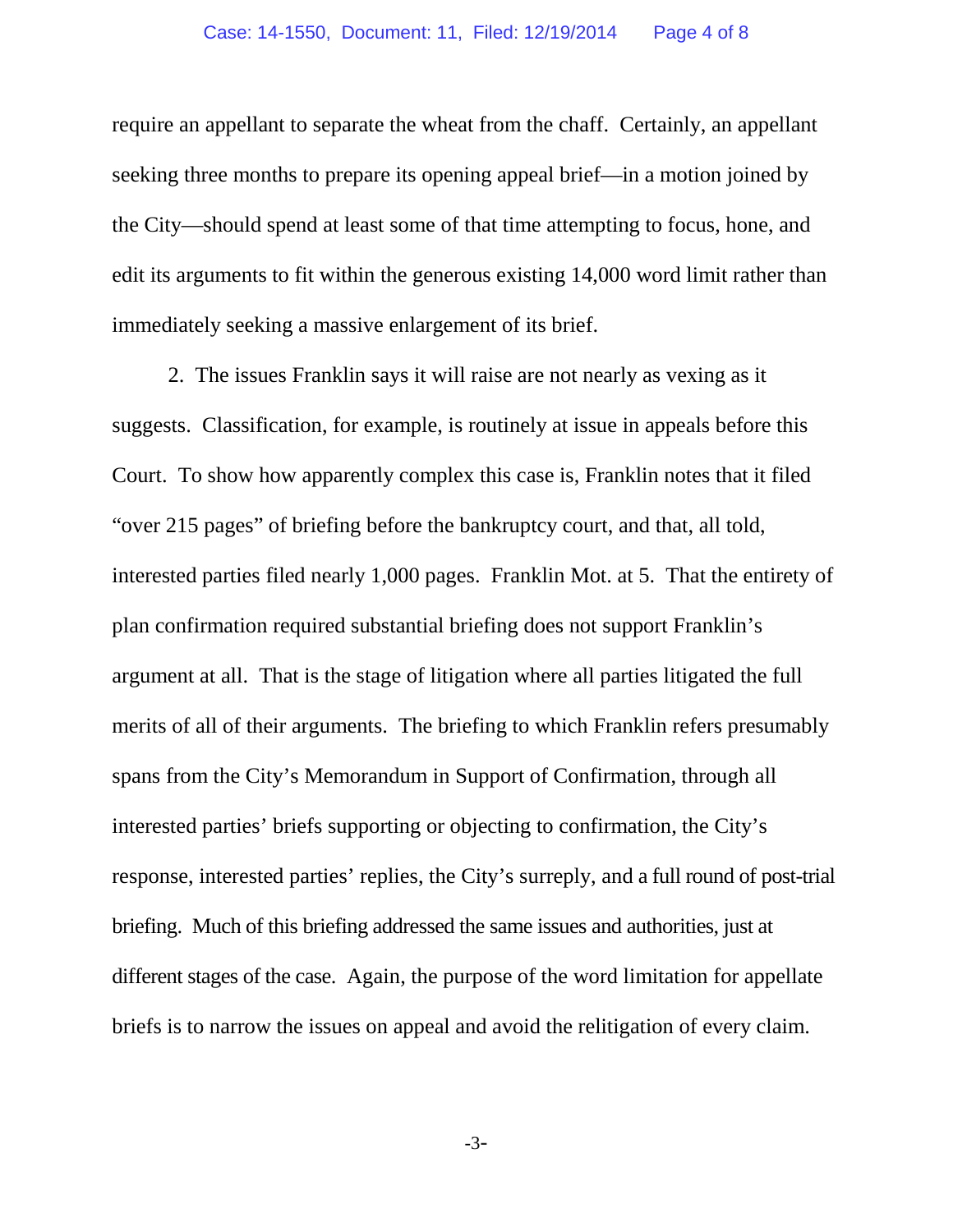require an appellant to separate the wheat from the chaff. Certainly, an appellant seeking three months to prepare its opening appeal brief—in a motion joined by the City—should spend at least some of that time attempting to focus, hone, and edit its arguments to fit within the generous existing 14,000 word limit rather than immediately seeking a massive enlargement of its brief.

2. The issues Franklin says it will raise are not nearly as vexing as it suggests. Classification, for example, is routinely at issue in appeals before this Court. To show how apparently complex this case is, Franklin notes that it filed "over 215 pages" of briefing before the bankruptcy court, and that, all told, interested parties filed nearly 1,000 pages. Franklin Mot. at 5. That the entirety of plan confirmation required substantial briefing does not support Franklin's argument at all. That is the stage of litigation where all parties litigated the full merits of all of their arguments. The briefing to which Franklin refers presumably spans from the City's Memorandum in Support of Confirmation, through all interested parties' briefs supporting or objecting to confirmation, the City's response, interested parties' replies, the City's surreply, and a full round of post-trial briefing. Much of this briefing addressed the same issues and authorities, just at different stages of the case. Again, the purpose of the word limitation for appellate briefs is to narrow the issues on appeal and avoid the relitigation of every claim.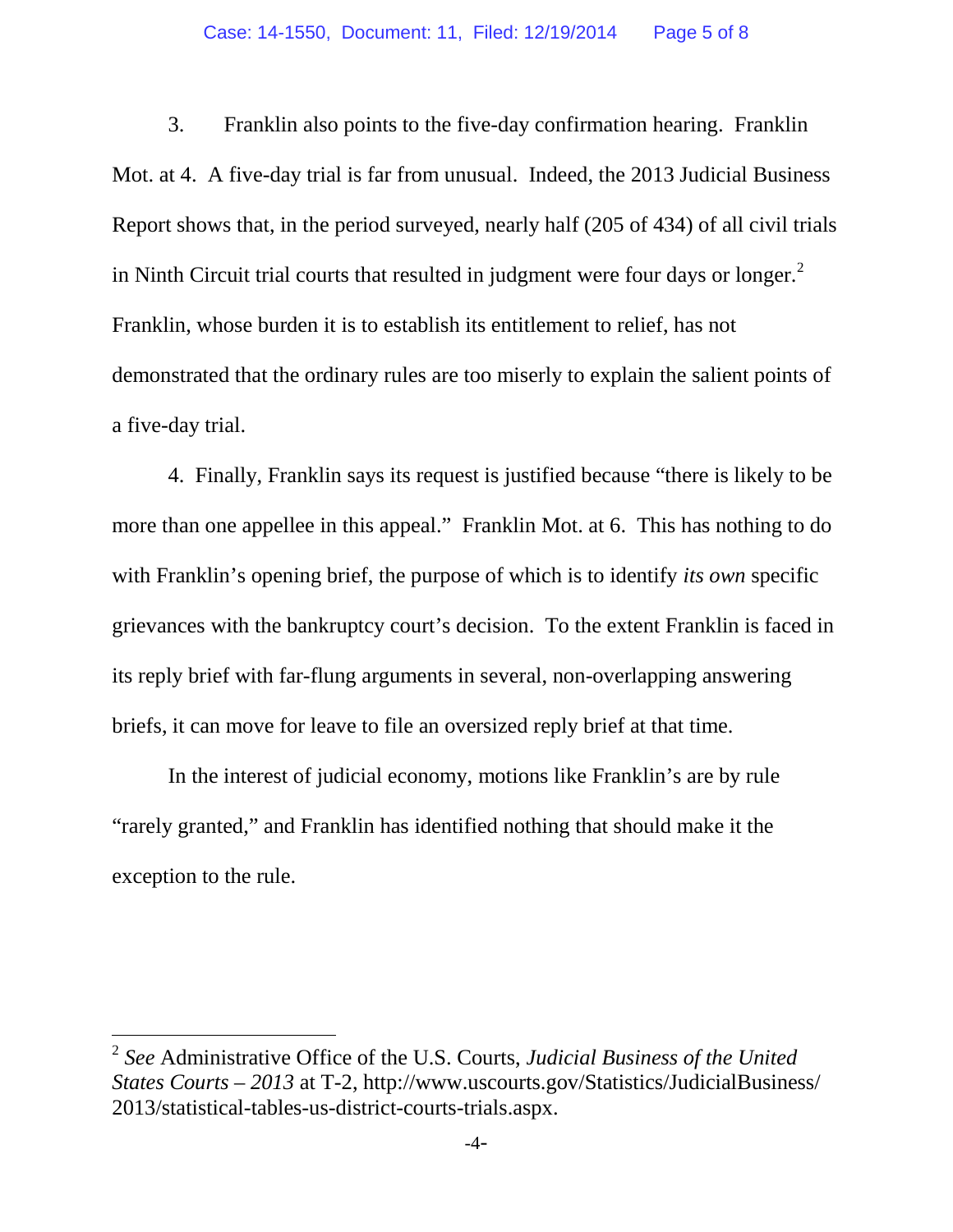3. Franklin also points to the five-day confirmation hearing. Franklin Mot. at 4. A five-day trial is far from unusual. Indeed, the 2013 Judicial Business Report shows that, in the period surveyed, nearly half (205 of 434) of all civil trials in Ninth Circuit trial courts that resulted in judgment were four days or longer. $<sup>2</sup>$ </sup> Franklin, whose burden it is to establish its entitlement to relief, has not demonstrated that the ordinary rules are too miserly to explain the salient points of a five-day trial.

4. Finally, Franklin says its request is justified because "there is likely to be more than one appellee in this appeal." Franklin Mot. at 6. This has nothing to do with Franklin's opening brief, the purpose of which is to identify *its own* specific grievances with the bankruptcy court's decision. To the extent Franklin is faced in its reply brief with far-flung arguments in several, non-overlapping answering briefs, it can move for leave to file an oversized reply brief at that time.

In the interest of judicial economy, motions like Franklin's are by rule "rarely granted," and Franklin has identified nothing that should make it the exception to the rule.

<sup>2</sup> *See* Administrative Office of the U.S. Courts, *Judicial Business of the United States Courts – 2013* at T-2, http://www.uscourts.gov/Statistics/JudicialBusiness/ 2013/statistical-tables-us-district-courts-trials.aspx.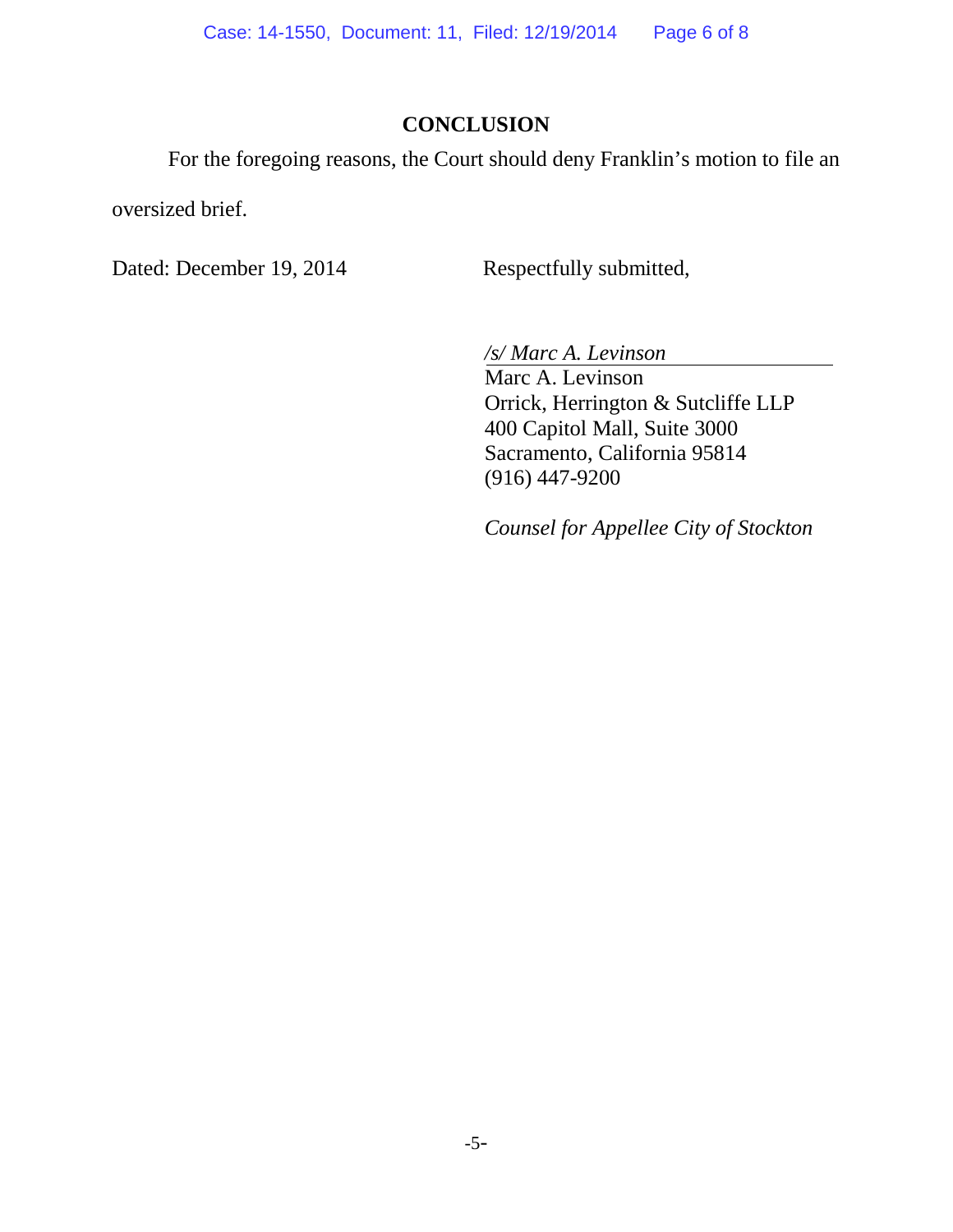# **CONCLUSION**

For the foregoing reasons, the Court should deny Franklin's motion to file an

oversized brief.

Dated: December 19, 2014 Respectfully submitted,

*/s/ Marc A. Levinson*

Marc A. Levinson Orrick, Herrington & Sutcliffe LLP 400 Capitol Mall, Suite 3000 Sacramento, California 95814 (916) 447-9200

*Counsel for Appellee City of Stockton*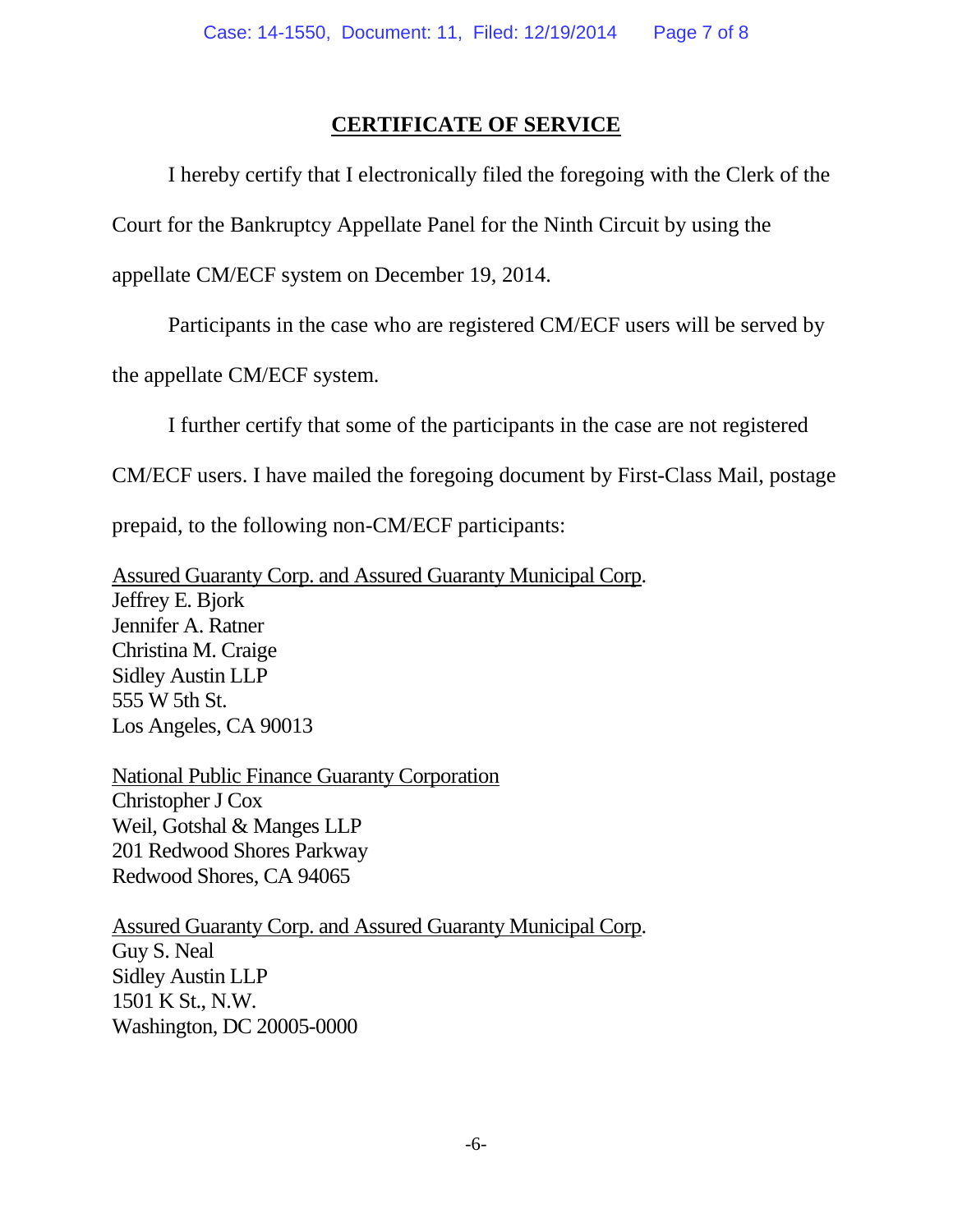## **CERTIFICATE OF SERVICE**

I hereby certify that I electronically filed the foregoing with the Clerk of the

Court for the Bankruptcy Appellate Panel for the Ninth Circuit by using the

appellate CM/ECF system on December 19, 2014.

Participants in the case who are registered CM/ECF users will be served by

the appellate CM/ECF system.

I further certify that some of the participants in the case are not registered

CM/ECF users. I have mailed the foregoing document by First-Class Mail, postage

prepaid, to the following non-CM/ECF participants:

Assured Guaranty Corp. and Assured Guaranty Municipal Corp. Jeffrey E. Bjork Jennifer A. Ratner Christina M. Craige Sidley Austin LLP 555 W 5th St. Los Angeles, CA 90013

National Public Finance Guaranty Corporation Christopher J Cox Weil, Gotshal & Manges LLP 201 Redwood Shores Parkway Redwood Shores, CA 94065

Assured Guaranty Corp. and Assured Guaranty Municipal Corp. Guy S. Neal Sidley Austin LLP 1501 K St., N.W. Washington, DC 20005-0000